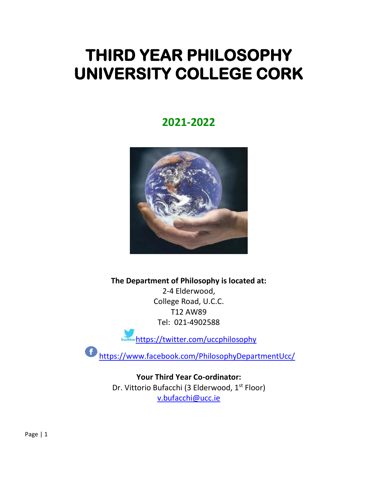# **THIRD YEAR PHILOSOPHY UNIVERSITY COLLEGE CORK**

# **2021-2022**



**The Department of Philosophy is located at:**

2-4 Elderwood, College Road, U.C.C. T12 AW89 Tel: 021-4902588

<https://twitter.com/uccphilosophy>

<https://www.facebook.com/PhilosophyDepartmentUcc/>

**Your Third Year Co-ordinator:** Dr. Vittorio Bufacchi (3 Elderwood, 1<sup>st</sup> Floor) [v.bufacchi@ucc.ie](mailto:v.bufacchi@ucc.ie)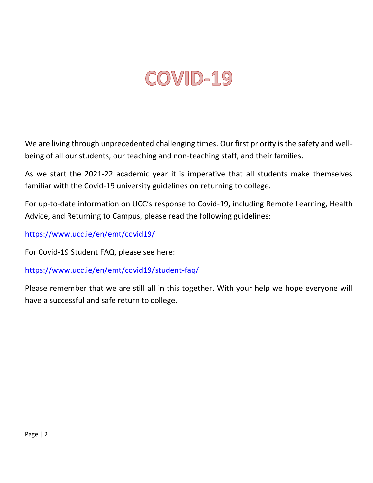# COVID-19

We are living through unprecedented challenging times. Our first priority is the safety and wellbeing of all our students, our teaching and non-teaching staff, and their families.

As we start the 2021-22 academic year it is imperative that all students make themselves familiar with the Covid-19 university guidelines on returning to college.

For up-to-date information on UCC's response to Covid-19, including Remote Learning, Health Advice, and Returning to Campus, please read the following guidelines:

<https://www.ucc.ie/en/emt/covid19/>

For Covid-19 Student FAQ, please see here:

<https://www.ucc.ie/en/emt/covid19/student-faq/>

Please remember that we are still all in this together. With your help we hope everyone will have a successful and safe return to college.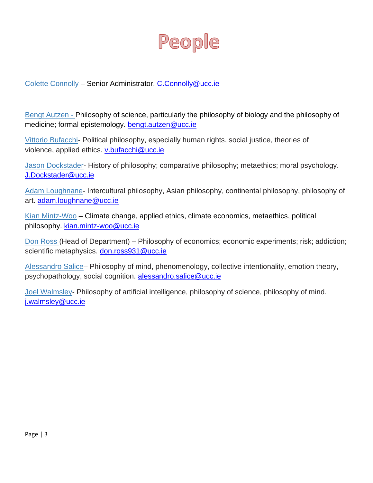# People

Colette Connolly – Senior Administrator. [C.Connolly@ucc.ie](mailto:C.Connolly@ucc.ie)

Bengt Autzen - Philosophy of science, particularly the philosophy of biology and the philosophy of medicine; formal epistemology. [bengt.autzen@ucc.ie](mailto:bengt.autzen@ucc.ie)

Vittorio Bufacchi- Political philosophy, especially human rights, social justice, theories of violence, applied ethics. [v.bufacchi@ucc.ie](mailto:v.bufacchi@ucc.ie)

Jason Dockstader- History of philosophy; comparative philosophy; metaethics; moral psychology. [J.Dockstader@ucc.ie](mailto:J.Dockstader@ucc.ie)

Adam Loughnane- Intercultural philosophy, Asian philosophy, continental philosophy, philosophy of art. [adam.loughnane@ucc.ie](mailto:adam.loughnane@ucc.ie)

Kian Mintz-Woo – Climate change, applied ethics, climate economics, metaethics, political philosophy. [kian.mintz-woo@ucc.ie](mailto:kian.mintz-woo@ucc.ie)

Don Ross (Head of Department) – Philosophy of economics; economic experiments; risk; addiction; scientific metaphysics. [don.ross931@ucc.ie](mailto:don.ross931@ucc.ie)

Alessandro Salice– Philosophy of mind, phenomenology, collective intentionality, emotion theory, psychopathology, social cognition. [alessandro.salice@ucc.ie](mailto:alessandro.salice@ucc.ie)

Joel Walmsley- Philosophy of artificial intelligence, philosophy of science, philosophy of mind. [j.walmsley@ucc.ie](mailto:j.walmsley@ucc.ie)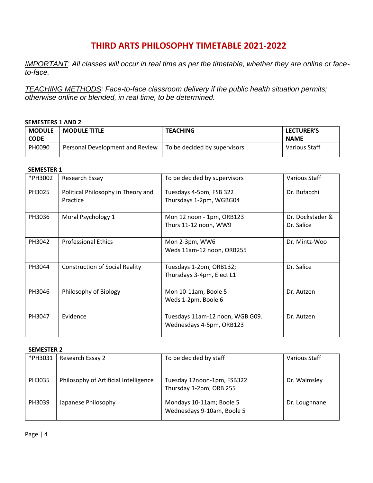# **THIRD ARTS PHILOSOPHY TIMETABLE 2021-2022**

*IMPORTANT*: *All classes will occur in real time as per the timetable, whether they are online or faceto-face.*

*TEACHING METHODS: Face-to-face classroom delivery if the public health situation permits; otherwise online or blended, in real time, to be determined.*

#### **SEMESTERS 1 AND 2**

| <b>MODULE</b><br><b>CODE</b> | <b>MODULE TITLE</b>             | <b>TEACHING</b>              | <b>LECTURER'S</b><br><b>NAME</b> |
|------------------------------|---------------------------------|------------------------------|----------------------------------|
| PH0090                       | Personal Development and Review | To be decided by supervisors | Various Staff                    |

#### **SEMESTER 1**

| *PH3002 | Research Essay                                 | To be decided by supervisors                                | Various Staff                  |
|---------|------------------------------------------------|-------------------------------------------------------------|--------------------------------|
| PH3025  | Political Philosophy in Theory and<br>Practice | Tuesdays 4-5pm, FSB 322<br>Thursdays 1-2pm, WGBG04          | Dr. Bufacchi                   |
| PH3036  | Moral Psychology 1                             | Mon 12 noon - 1pm, ORB123<br>Thurs 11-12 noon, WW9          | Dr. Dockstader &<br>Dr. Salice |
| PH3042  | <b>Professional Ethics</b>                     | Mon 2-3pm, WW6<br>Weds 11am-12 noon, ORB255                 | Dr. Mintz-Woo                  |
| PH3044  | <b>Construction of Social Reality</b>          | Tuesdays 1-2pm, ORB132;<br>Thursdays 3-4pm, Elect L1        | Dr. Salice                     |
| PH3046  | Philosophy of Biology                          | Mon 10-11am, Boole 5<br>Weds 1-2pm, Boole 6                 | Dr. Autzen                     |
| PH3047  | Evidence                                       | Tuesdays 11am-12 noon, WGB G09.<br>Wednesdays 4-5pm, ORB123 | Dr. Autzen                     |

#### **SEMESTER 2**

| *PH3031 | Research Essay 2                      | To be decided by staff                                 | Various Staff |
|---------|---------------------------------------|--------------------------------------------------------|---------------|
| PH3035  | Philosophy of Artificial Intelligence | Tuesday 12noon-1pm, FSB322<br>Thursday 1-2pm, ORB 255  | Dr. Walmsley  |
| PH3039  | Japanese Philosophy                   | Mondays 10-11am; Boole 5<br>Wednesdays 9-10am, Boole 5 | Dr. Loughnane |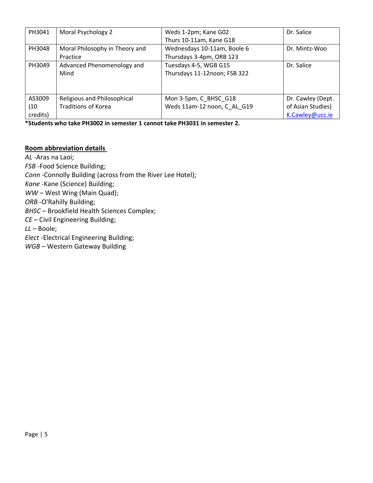| PH3041   | Moral Psychology 2             | Weds 1-2pm; Kane G02         | Dr. Salice        |
|----------|--------------------------------|------------------------------|-------------------|
|          |                                | Thurs 10-11am, Kane G18      |                   |
| PH3048   | Moral Philosophy in Theory and | Wednesdays 10-11am, Boole 6  | Dr. Mintz-Woo     |
|          | Practice                       | Thursdays 3-4pm, ORB 123     |                   |
| PH3049   | Advanced Phenomenology and     | Tuesdays 4-5, WGB G15        | Dr. Salice        |
|          | Mind                           | Thursdays 11-12noon; FSB 322 |                   |
|          |                                |                              |                   |
|          |                                |                              |                   |
| AS3009   | Religious and Philosophical    | Mon 3-5pm, C_BHSC_G18        | Dr. Cawley (Dept. |
| (10)     | <b>Traditions of Korea</b>     | Weds 11am-12 noon, C AL G19  | of Asian Studies) |
| credits) |                                |                              | K.Cawley@ucc.ie   |

**\*Students who take PH3002 in semester 1 cannot take PH3031 in semester 2.**

#### **Room abbreviation details**

*AL* -Aras na Laoi; *FSB* -Food Science Building;

*Conn* -Connolly Building (across from the River Lee Hotel);

*Kane* -Kane (Science) Building;

*WW –* West Wing (Main Quad);

*ORB* -O'Rahilly Building;

*BHSC –* Brookfield Health Sciences Complex;

*CE –* Civil Engineering Building;

*LL –* Boole;

*Elect -*Electrical Engineering Building;

*WGB –* Western Gateway Building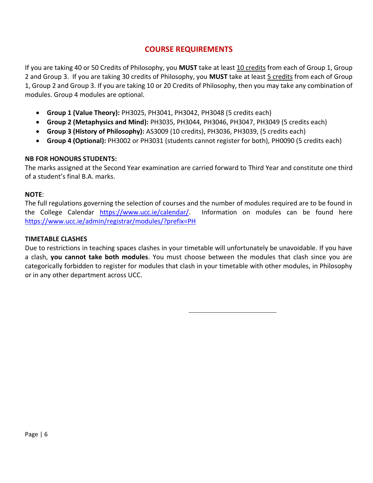# **COURSE REQUIREMENTS**

If you are taking 40 or 50 Credits of Philosophy, you **MUST** take at least 10 credits from each of Group 1, Group 2 and Group 3. If you are taking 30 credits of Philosophy, you **MUST** take at least 5 credits from each of Group 1, Group 2 and Group 3. If you are taking 10 or 20 Credits of Philosophy, then you may take any combination of modules. Group 4 modules are optional.

- **Group 1 (Value Theory):** PH3025, PH3041, PH3042, PH3048 (5 credits each)
- **Group 2 (Metaphysics and Mind):** PH3035, PH3044, PH3046, PH3047, PH3049 (5 credits each)
- **Group 3 (History of Philosophy):** AS3009 (10 credits), PH3036, PH3039, (5 credits each)
- **Group 4 (Optional):** PH3002 or PH3031 (students cannot register for both), PH0090 (5 credits each)

### **NB FOR HONOURS STUDENTS:**

The marks assigned at the Second Year examination are carried forward to Third Year and constitute one third of a student's final B.A. marks.

## **NOTE**:

The full regulations governing the selection of courses and the number of modules required are to be found in the College Calendar [https://www.ucc.ie/calendar/.](https://www.ucc.ie/calendar/) Information on modules can be found here <https://www.ucc.ie/admin/registrar/modules/?prefix=PH>

### **TIMETABLE CLASHES**

Due to restrictions in teaching spaces clashes in your timetable will unfortunately be unavoidable. If you have a clash, **you cannot take both modules**. You must choose between the modules that clash since you are categorically forbidden to register for modules that clash in your timetable with other modules, in Philosophy or in any other department across UCC.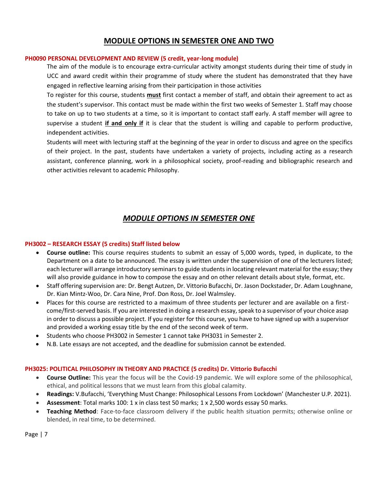# **MODULE OPTIONS IN SEMESTER ONE AND TWO**

#### **PH0090 PERSONAL DEVELOPMENT AND REVIEW (5 credit, year-long module)**

The aim of the module is to encourage extra-curricular activity amongst students during their time of study in UCC and award credit within their programme of study where the student has demonstrated that they have engaged in reflective learning arising from their participation in those activities

To register for this course, students **must** first contact a member of staff, and obtain their agreement to act as the student's supervisor. This contact must be made within the first two weeks of Semester 1. Staff may choose to take on up to two students at a time, so it is important to contact staff early. A staff member will agree to supervise a student **if and only if** it is clear that the student is willing and capable to perform productive, independent activities.

Students will meet with lecturing staff at the beginning of the year in order to discuss and agree on the specifics of their project. In the past, students have undertaken a variety of projects, including acting as a research assistant, conference planning, work in a philosophical society, proof-reading and bibliographic research and other activities relevant to academic Philosophy.

## *MODULE OPTIONS IN SEMESTER ONE*

#### **PH3002 – RESEARCH ESSAY (5 credits) Staff listed below**

- **Course outline:** This course requires students to submit an essay of 5,000 words, typed, in duplicate, to the Department on a date to be announced. The essay is written under the supervision of one of the lecturers listed; each lecturer will arrange introductory seminars to guide students in locating relevant material for the essay; they will also provide guidance in how to compose the essay and on other relevant details about style, format, etc.
- Staff offering supervision are: Dr. Bengt Autzen, Dr. Vittorio Bufacchi, Dr. Jason Dockstader, Dr. Adam Loughnane, Dr. Kian Mintz-Woo, Dr. Cara Nine, Prof. Don Ross, Dr. Joel Walmsley.
- Places for this course are restricted to a maximum of three students per lecturer and are available on a firstcome/first-served basis. If you are interested in doing a research essay, speak to a supervisor of your choice asap in order to discuss a possible project. If you register for this course, you have to have signed up with a supervisor and provided a working essay title by the end of the second week of term.
- Students who choose PH3002 in Semester 1 cannot take PH3031 in Semester 2.
- N.B. Late essays are not accepted, and the deadline for submission cannot be extended.

#### **PH3025: POLITICAL PHILOSOPHY IN THEORY AND PRACTICE (5 credits) Dr. Vittorio Bufacchi**

- **Course Outline:** This year the focus will be the Covid-19 pandemic. We will explore some of the philosophical, ethical, and political lessons that we must learn from this global calamity.
- **Readings:** V.Bufacchi, 'Everything Must Change: Philosophical Lessons From Lockdown' (Manchester U.P. 2021).
- **Assessment**: Total marks 100: 1 x in class test 50 marks; 1 x 2,500 words essay 50 marks.
- **Teaching Method**: Face-to-face classroom delivery if the public health situation permits; otherwise online or blended, in real time, to be determined.

Page | 7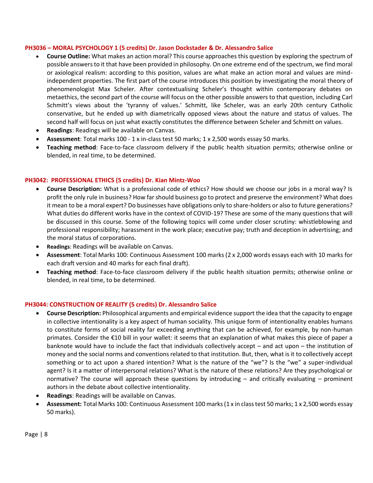#### **PH3036 – MORAL PSYCHOLOGY 1 (5 credits) Dr. Jason Dockstader & Dr. Alessandro Salice**

- **Course Outline:** What makes an action moral? This course approaches this question by exploring the spectrum of possible answers to it that have been provided in philosophy. On one extreme end of the spectrum, we find moral or axiological realism: according to this position, values are what make an action moral and values are mindindependent properties. The first part of the course introduces this position by investigating the moral theory of phenomenologist Max Scheler. After contextualising Scheler's thought within contemporary debates on metaethics, the second part of the course will focus on the other possible answers to that question, including Carl Schmitt's views about the 'tyranny of values.' Schmitt, like Scheler, was an early 20th century Catholic conservative, but he ended up with diametrically opposed views about the nature and status of values. The second half will focus on just what exactly constitutes the difference between Scheler and Schmitt on values.
- **Readings**: Readings will be available on Canvas.
- **Assessment**: Total marks 100 1 x in-class test 50 marks; 1 x 2,500 words essay 50 marks.
- **Teaching method**: Face-to-face classroom delivery if the public health situation permits; otherwise online or blended, in real time, to be determined.

#### **PH3042: PROFESSIONAL ETHICS (5 credits) Dr. Kian Mintz-Woo**

- **Course Description:** What is a professional code of ethics? How should we choose our jobs in a moral way? Is profit the only rule in business? How far should business go to protect and preserve the environment? What does it mean to be a moral expert? Do businesses have obligations only to share-holders or also to future generations? What duties do different works have in the context of COVID-19? These are some of the many questions that will be discussed in this course. Some of the following topics will come under closer scrutiny: whistleblowing and professional responsibility; harassment in the work place; executive pay; truth and deception in advertising; and the moral status of corporations.
- **Readings**: Readings will be available on Canvas.
- **Assessment**: Total Marks 100: Continuous Assessment 100 marks (2 x 2,000 words essays each with 10 marks for each draft version and 40 marks for each final draft).
- **Teaching method**: Face-to-face classroom delivery if the public health situation permits; otherwise online or blended, in real time, to be determined.

#### **PH3044: CONSTRUCTION OF REALITY (5 credits) Dr. Alessandro Salice**

- **Course Description:** Philosophical arguments and empirical evidence support the idea that the capacity to engage in collective intentionality is a key aspect of human sociality. This unique form of intentionality enables humans to constitute forms of social reality far exceeding anything that can be achieved, for example, by non-human primates. Consider the €10 bill in your wallet: it seems that an explanation of what makes this piece of paper a banknote would have to include the fact that individuals collectively accept – and act upon – the institution of money and the social norms and conventions related to that institution. But, then, what is it to collectively accept something or to act upon a shared intention? What is the nature of the "we"? Is the "we" a super-individual agent? Is it a matter of interpersonal relations? What is the nature of these relations? Are they psychological or normative? The course will approach these questions by introducing – and critically evaluating – prominent authors in the debate about collective intentionality.
- **Readings**: Readings will be available on Canvas.
- **Assessment:** Total Marks 100: Continuous Assessment 100 marks (1 x in class test 50 marks; 1 x 2,500 words essay 50 marks).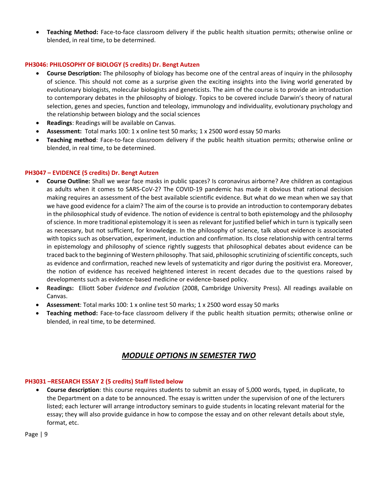• **Teaching Method:** Face-to-face classroom delivery if the public health situation permits; otherwise online or blended, in real time, to be determined.

#### **PH3046: PHILOSOPHY OF BIOLOGY (5 credits) Dr. Bengt Autzen**

- **Course Description:** The philosophy of biology has become one of the central areas of inquiry in the philosophy of science. This should not come as a surprise given the exciting insights into the living world generated by evolutionary biologists, molecular biologists and geneticists. The aim of the course is to provide an introduction to contemporary debates in the philosophy of biology. Topics to be covered include Darwin's theory of natural selection, genes and species, function and teleology, immunology and individuality, evolutionary psychology and the relationship between biology and the social sciences
- **Readings**: Readings will be available on Canvas.
- **Assessment:** Total marks 100: 1 x online test 50 marks; 1 x 2500 word essay 50 marks
- **Teaching method**: Face-to-face classroom delivery if the public health situation permits; otherwise online or blended, in real time, to be determined.

#### **PH3047 – EVIDENCE (5 credits) Dr. Bengt Autzen**

- **Course Outline:** Shall we wear face masks in public spaces? Is coronavirus airborne? Are children as contagious as adults when it comes to SARS-CoV-2? The COVID-19 pandemic has made it obvious that rational decision making requires an assessment of the best available scientific evidence. But what do we mean when we say that we have good evidence for a claim? The aim of the course is to provide an introduction to contemporary debates in the philosophical study of evidence. The notion of evidence is central to both epistemology and the philosophy of science. In more traditional epistemology it is seen as relevant for justified belief which in turn is typically seen as necessary, but not sufficient, for knowledge. In the philosophy of science, talk about evidence is associated with topics such as observation, experiment, induction and confirmation. Its close relationship with central terms in epistemology and philosophy of science rightly suggests that philosophical debates about evidence can be traced back to the beginning of Western philosophy. That said, philosophic scrutinizing of scientific concepts, such as evidence and confirmation, reached new levels of systematicity and rigor during the positivist era. Moreover, the notion of evidence has received heightened interest in recent decades due to the questions raised by developments such as evidence-based medicine or evidence-based policy.
- **Readings:** Elliott Sober *Evidence and Evolution* (2008, Cambridge University Press). All readings available on Canvas.
- **Assessment**: Total marks 100: 1 x online test 50 marks; 1 x 2500 word essay 50 marks
- **Teaching method:** Face-to-face classroom delivery if the public health situation permits; otherwise online or blended, in real time, to be determined.

# *MODULE OPTIONS IN SEMESTER TWO*

### **PH3031 –RESEARCH ESSAY 2 (5 credits) Staff listed below**

• **Course description**: this course requires students to submit an essay of 5,000 words, typed, in duplicate, to the Department on a date to be announced. The essay is written under the supervision of one of the lecturers listed; each lecturer will arrange introductory seminars to guide students in locating relevant material for the essay; they will also provide guidance in how to compose the essay and on other relevant details about style, format, etc.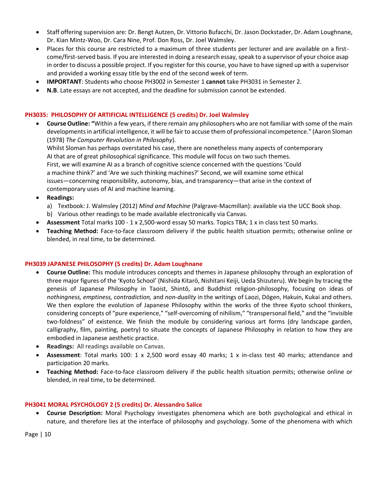- Staff offering supervision are: Dr. Bengt Autzen, Dr. Vittorio Bufacchi, Dr. Jason Dockstader, Dr. Adam Loughnane, Dr. Kian Mintz-Woo, Dr. Cara Nine, Prof. Don Ross, Dr. Joel Walmsley.
- Places for this course are restricted to a maximum of three students per lecturer and are available on a firstcome/first-served basis. If you are interested in doing a research essay, speak to a supervisor of your choice asap in order to discuss a possible project. If you register for this course, you have to have signed up with a supervisor and provided a working essay title by the end of the second week of term.
- **IMPORTANT**: Students who choose PH3002 in Semester 1 **cannot** take PH3031 in Semester 2.
- **N.B**. Late essays are not accepted, and the deadline for submission cannot be extended.

#### **PH3035: PHILOSOPHY OF ARTIFICIAL INTELLIGENCE (5 credits) Dr. Joel Walmsley**

• **Course Outline: "**Within a few years, if there remain any philosophers who are not familiar with some of the main developments in artificial intelligence, it will be fair to accuse them of professional incompetence." (Aaron Sloman (1978) *The Computer Revolution in Philosophy*).

Whilst Sloman has perhaps overstated his case, there are nonetheless many aspects of contemporary AI that are of great philosophical significance. This module will focus on two such themes. First, we will examine AI as a branch of cognitive science concerned with the questions 'Could a machine think?' and 'Are we such thinking machines?' Second, we will examine some ethical issues—concerning responsibility, autonomy, bias, and transparency—that arise in the context of contemporary uses of AI and machine learning.

- **Readings:**
	- a) Textbook: J. Walmsley (2012) *Mind and Machine* (Palgrave-Macmillan): available via the UCC Book shop.
	- b) Various other readings to be made available electronically via Canvas.
- **Assessment** Total marks 100 1 x 2,500-word essay 50 marks. Topics TBA; 1 x in class test 50 marks.
- **Teaching Method:** Face-to-face classroom delivery if the public health situation permits; otherwise online or blended, in real time, to be determined.

#### **PH3039 JAPANESE PHILOSOPHY (5 credits) Dr. Adam Loughnane**

- **Course Outline:** This module introduces concepts and themes in Japanese philosophy through an exploration of three major figures of the 'Kyoto School' (Nishida Kitarō, Nishitani Keiji, Ueda Shizuteru). We begin by tracing the genesis of Japanese Philosophy in Taoist, Shintō, and Buddhist religion-philosophy, focusing on ideas of *nothingness, emptiness, contradiction,* and *non-duality* in the writings of Laozi, Dōgen, Hakuin, Kukai and others*.*  We then explore the evolution of Japanese Philosophy within the works of the three Kyoto school thinkers, considering concepts of "pure experience," "self-overcoming of nihilism," "transpersonal field," and the "invisible two-foldness" of existence. We finish the module by considering various art forms (dry landscape garden, calligraphy, film, painting, poetry) to situate the concepts of Japanese Philosophy in relation to how they are embodied in Japanese aesthetic practice.
- **Readings:** All readings available on Canvas.
- **Assessment**: Total marks 100: 1 x 2,500 word essay 40 marks; 1 x in-class test 40 marks; attendance and participation 20 marks.
- **Teaching Method:** Face-to-face classroom delivery if the public health situation permits; otherwise online or blended, in real time, to be determined.

#### **PH3041 MORAL PSYCHOLOGY 2 (5 credits) Dr. Alessandro Salice**

• **Course Description:** Moral Psychology investigates phenomena which are both psychological and ethical in nature, and therefore lies at the interface of philosophy and psychology. Some of the phenomena with which

Page | 10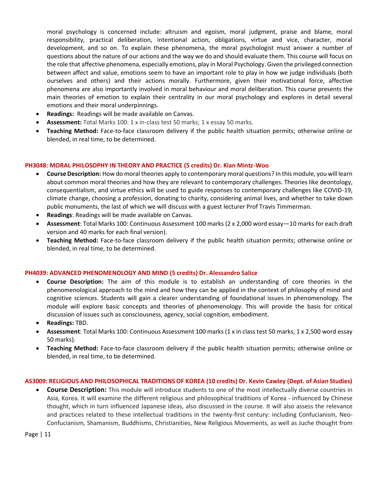moral psychology is concerned include: altruism and egoism, moral judgment, praise and blame, moral responsibility, practical deliberation, intentional action, obligations, virtue and vice, character, moral development, and so on. To explain these phenomena, the moral psychologist must answer a number of questions about the nature of our actions and the way we do and should evaluate them. This course will focus on the role that affective phenomena, especially emotions, play in Moral Psychology. Given the privileged connection between affect and value, emotions seem to have an important role to play in how we judge individuals (both ourselves and others) and their actions morally. Furthermore, given their motivational force, affective phenomena are also importantly involved in moral behaviour and moral deliberation. This course presents the main theories of emotion to explain their centrality in our moral psychology and explores in detail several emotions and their moral underpinnings.

- **Readings:** Readings will be made available on Canvas.
- **Assessment:** Total Marks 100: 1 x in-class test 50 marks; 1 x essay 50 marks.
- **Teaching Method:** Face-to-face classroom delivery if the public health situation permits; otherwise online or blended, in real time, to be determined.

#### **PH3048: MORAL PHILOSOPHY IN THEORY AND PRACTICE (5 credits) Dr. Kian Mintz-Woo**

- **Course Description:** How do moral theories apply to contemporary moral questions? In this module, you will learn about common moral theories and how they are relevant to contemporary challenges. Theories like deontology, consequentialism, and virtue ethics will be used to guide responses to contemporary challenges like COVID-19, climate change, choosing a profession, donating to charity, considering animal lives, and whether to take down public monuments, the last of which we will discuss with a guest lecturer Prof Travis Timmerman.
- **Readings**: Readings will be made available on Canvas.
- **Assessment**: Total Marks 100: Continuous Assessment 100 marks (2 x 2,000 word essay—10 marks for each draft version and 40 marks for each final version).
- **Teaching Method:** Face-to-face classroom delivery if the public health situation permits; otherwise online or blended, in real time, to be determined.

#### **PH4039: ADVANCED PHENOMENOLOGY AND MIND (5 credits) Dr. Alessandro Salice**

- **Course Description:** The aim of this module is to establish an understanding of core theories in the phenomenological approach to the mind and how they can be applied in the context of philosophy of mind and cognitive sciences. Students will gain a clearer understanding of foundational issues in phenomenology. The module will explore basic concepts and theories of phenomenology. This will provide the basis for critical discussion of issues such as consciousness, agency, social cognition, embodiment.
- **Readings:** TBD.
- **Assessment**: Total Marks 100: Continuous Assessment 100 marks (1 x in class test 50 marks; 1 x 2,500 word essay 50 marks).
- **Teaching Method:** Face-to-face classroom delivery if the public health situation permits; otherwise online or blended, in real time, to be determined.

#### **AS3009: RELIGIOUS AND PHILOSOPHICAL TRADITIONS OF KOREA (10 credits) Dr. Kevin Cawley (Dept. of Asian Studies)**

• **Course Description:** This module will introduce students to one of the most intellectually diverse countries in Asia, Korea. It will examine the different religious and philosophical traditions of Korea - influenced by Chinese thought, which in turn influenced Japanese ideas, also discussed in the course. It will also assess the relevance and practices related to these intellectual traditions in the twenty-first century: including Confucianism, Neo-Confucianism, Shamanism, Buddhisms, Christianities, New Religious Movements, as well as Juche thought from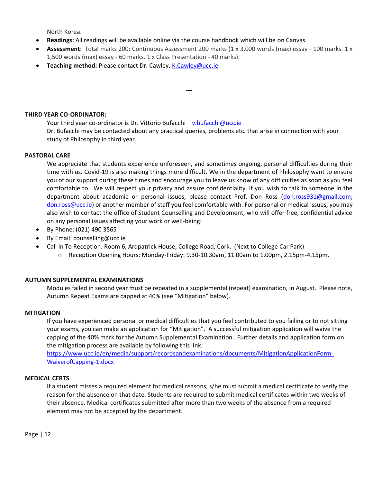North Korea.

- **Readings:** All readings will be available online via the course handbook which will be on Canvas.
- **Assessment**: Total marks 200: Continuous Assessment 200 marks (1 x 3,000 words (max) essay 100 marks. 1 x 1,500 words (max) essay - 60 marks. 1 x Class Presentation - 40 marks).
- **Teaching method:** Please contact Dr. Cawley, [K.Cawley@ucc.ie](mailto:K.Cawley@ucc.ie)

#### **THIRD YEAR CO-ORDINATOR:**

Your third year co-ordinator is Dr. Vittorio Bufacchi – [v.bufacchi@ucc.ie](mailto:v.bufacchi@ucc.ie) Dr. Bufacchi may be contacted about any practical queries, problems etc. that arise in connection with your study of Philosophy in third year.

**---**

#### **PASTORAL CARE**

We appreciate that students experience unforeseen, and sometimes ongoing, personal difficulties during their time with us. Covid-19 is also making things more difficult. We in the department of Philosophy want to ensure you of our support during these times and encourage you to leave us know of any difficulties as soon as you feel comfortable to. We will respect your privacy and assure confidentiality. If you wish to talk to someone in the department about academic or personal issues, please contact Prof. Don Ross [\(don.ross931@gmail.com;](mailto:don.ross931@gmail.com) [don.ross@ucc.ie\)](mailto:don.ross@ucc.ie) or another member of staff you feel comfortable with. For personal or medical issues, you may also wish to contact the office of Student Counselling and Development, who will offer free, confidential advice on any personal issues affecting your work or well-being:

- By Phone: (021) 490 3565
- By Email: counselling@ucc.ie
- Call In To Reception: Room 6, Ardpatrick House, College Road, Cork. (Next to College Car Park)
	- o Reception Opening Hours: Monday-Friday: 9.30-10.30am, 11.00am to 1.00pm, 2.15pm-4.15pm.

#### **AUTUMN SUPPLEMENTAL EXAMINATIONS**

Modules failed in second year must be repeated in a supplemental (repeat) examination, in August. Please note, Autumn Repeat Exams are capped at 40% (see "Mitigation" below).

#### **MITIGATION**

If you have experienced personal or medical difficulties that you feel contributed to you failing or to not sitting your exams, you can make an application for "Mitigation". A successful mitigation application will waive the capping of the 40% mark for the Autumn Supplemental Examination. Further details and application form on the mitigation process are available by following this link:

[https://www.ucc.ie/en/media/support/recordsandexaminations/documents/MitigationApplicationForm-](https://www.ucc.ie/en/media/support/recordsandexaminations/documents/MitigationApplicationForm-WaiverofCapping-1.docx)[WaiverofCapping-1.docx](https://www.ucc.ie/en/media/support/recordsandexaminations/documents/MitigationApplicationForm-WaiverofCapping-1.docx)

#### **MEDICAL CERTS**

If a student misses a required element for medical reasons, s/he must submit a medical certificate to verify the reason for the absence on that date. Students are required to submit medical certificates within two weeks of their absence. Medical certificates submitted after more than two weeks of the absence from a required element may not be accepted by the department.